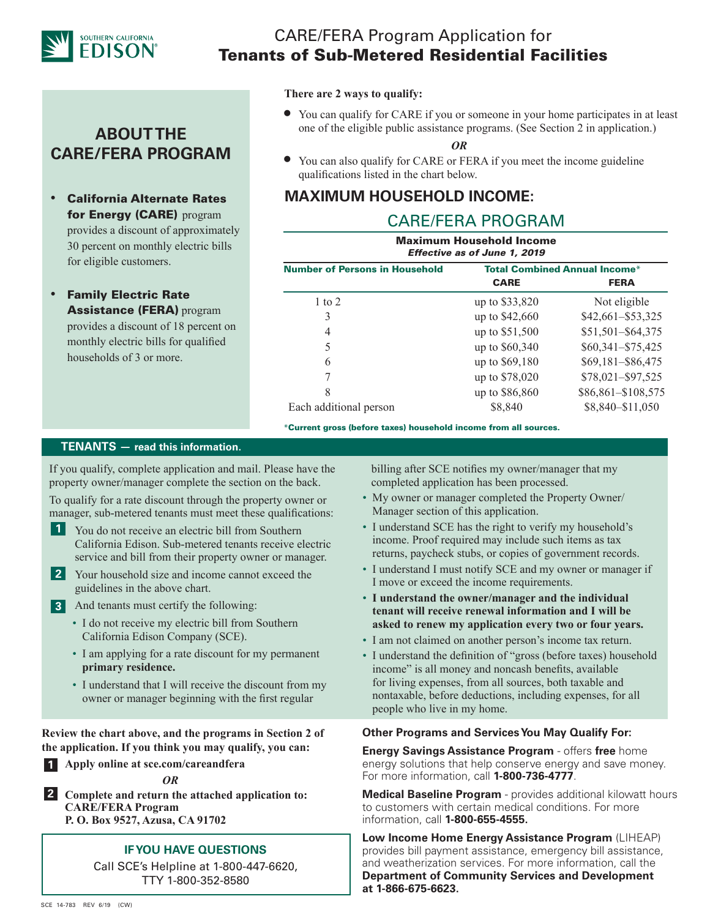

## CARE/FERA Program Application for Tenants of Sub-Metered Residential Facilities

## **ABOUT THE CARE/FERA PROGRAM**

- California Alternate Rates for Energy (CARE) program provides a discount of approximately 30 percent on monthly electric bills for eligible customers.
- **Family Electric Rate** Assistance (FERA) program provides a discount of 18 percent on monthly electric bills for qualified households of 3 or more.

#### **There are 2 ways to qualify:**

• You can qualify for CARE if you or someone in your home participates in at least one of the eligible public assistance programs. (See Section 2 in application.)

*OR*

• You can also qualify for CARE or FERA if you meet the income guideline qualifications listed in the chart below.

## **MAXIMUM HOUSEHOLD INCOME:**

## CARE/FERA PROGRAM

| <b>Maximum Household Income</b><br>Effective as of June 1, 2019 |                                      |                    |  |
|-----------------------------------------------------------------|--------------------------------------|--------------------|--|
| <b>Number of Persons in Household</b>                           | <b>Total Combined Annual Income*</b> |                    |  |
|                                                                 | <b>CARE</b>                          | <b>FERA</b>        |  |
| 1 to 2                                                          | up to \$33,820                       | Not eligible       |  |
| 3                                                               | up to \$42,660                       | \$42,661-\$53,325  |  |
| 4                                                               | up to \$51,500                       | \$51,501-\$64,375  |  |
| 5                                                               | up to \$60,340                       | \$60,341-\$75,425  |  |
| 6                                                               | up to \$69,180                       | \$69,181-\$86,475  |  |
|                                                                 | up to \$78,020                       | \$78,021-\$97,525  |  |
| 8                                                               | up to \$86,860                       | \$86,861-\$108,575 |  |
| Each additional person                                          | \$8,840                              | \$8,840-\$11,050   |  |

\*Current gross (before taxes) household income from all sources.

### **TENANTS — read this information.**

If you qualify, complete application and mail. Please have the property owner/manager complete the section on the back.

To qualify for a rate discount through the property owner or manager, sub-metered tenants must meet these qualifications:

- **1** You do not receive an electric bill from Southern California Edison. Sub-metered tenants receive electric service and bill from their property owner or manager.
- Your household size and income cannot exceed the **2** guidelines in the above chart.
- And tenants must certify the following: **3**
	- I do not receive my electric bill from Southern California Edison Company (SCE).
	- I am applying for a rate discount for my permanent **primary residence.**
	- I understand that I will receive the discount from my owner or manager beginning with the first regular

**Review the chart above, and the programs in Section 2 of the application. If you think you may qualify, you can:**

**Apply online at sce.com/careandfera 1**



**Complete and return the attached application to: 2CARE/FERA Program P. O. Box 9527, Azusa, CA 91702**

### **IF YOU HAVE QUESTIONS**

Call SCE's Helpline at 1-800-447-6620, TTY 1-800-352-8580

 billing after SCE notifies my owner/manager that my completed application has been processed.

- My owner or manager completed the Property Owner/ Manager section of this application.
- I understand SCE has the right to verify my household's income. Proof required may include such items as tax returns, paycheck stubs, or copies of government records.
- I understand I must notify SCE and my owner or manager if I move or exceed the income requirements.
- **I understand the owner/manager and the individual tenant will receive renewal information and I will be asked to renew my application every two or four years.**
- I am not claimed on another person's income tax return.
- I understand the definition of "gross (before taxes) household income" is all money and noncash benefits, available for living expenses, from all sources, both taxable and nontaxable, before deductions, including expenses, for all people who live in my home.

#### **Other Programs and Services You May Qualify For:**

**Energy Savings Assistance Program** - offers **free** home energy solutions that help conserve energy and save money. For more information, call **1-800-736-4777**.

**Medical Baseline Program** - provides additional kilowatt hours to customers with certain medical conditions. For more information, call **1-800-655-4555.**

**Low Income Home Energy Assistance Program** (LIHEAP) provides bill payment assistance, emergency bill assistance, and weatherization services. For more information, call the **Department of Community Services and Development at 1-866-675-6623.**